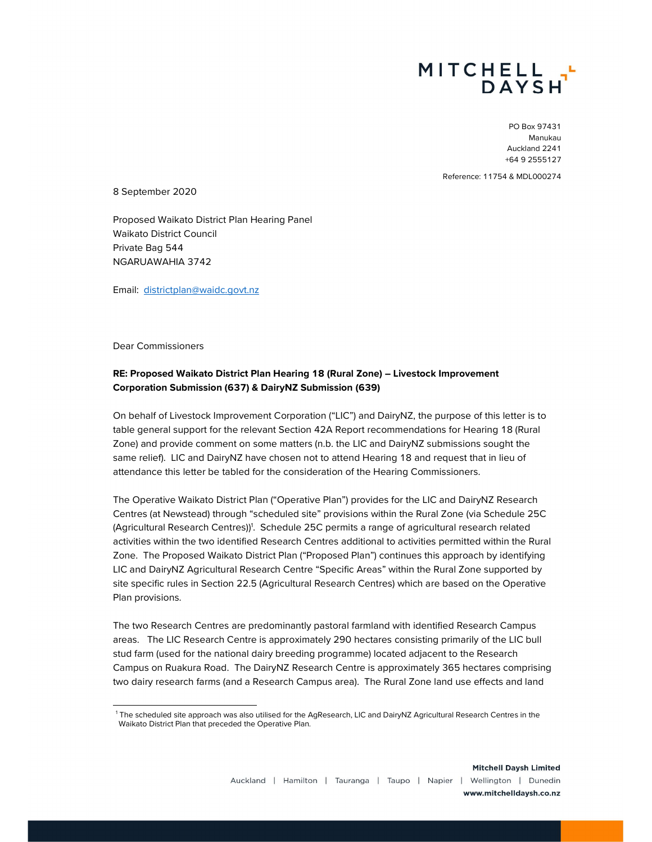

PO Box 97431 Manukau Auckland 2241 +64 9 2555127

Reference: 11754 & MDL000274

8 September 2020

Proposed Waikato District Plan Hearing Panel Waikato District Council Private Bag 544 NGARUAWAHIA 3742

Email: districtplan@waidc.govt.nz

Dear Commissioners

## RE: Proposed Waikato District Plan Hearing 18 (Rural Zone) – Livestock Improvement Corporation Submission (637) & DairyNZ Submission (639)

On behalf of Livestock Improvement Corporation ("LIC") and DairyNZ, the purpose of this letter is to table general support for the relevant Section 42A Report recommendations for Hearing 18 (Rural Zone) and provide comment on some matters (n.b. the LIC and DairyNZ submissions sought the same relief). LIC and DairyNZ have chosen not to attend Hearing 18 and request that in lieu of attendance this letter be tabled for the consideration of the Hearing Commissioners.

The Operative Waikato District Plan ("Operative Plan") provides for the LIC and DairyNZ Research Centres (at Newstead) through "scheduled site" provisions within the Rural Zone (via Schedule 25C (Agricultural Research Centres)<sup>1</sup>. Schedule 25C permits a range of agricultural research related activities within the two identified Research Centres additional to activities permitted within the Rural Zone. The Proposed Waikato District Plan ("Proposed Plan") continues this approach by identifying LIC and DairyNZ Agricultural Research Centre "Specific Areas" within the Rural Zone supported by site specific rules in Section 22.5 (Agricultural Research Centres) which are based on the Operative Plan provisions.

The two Research Centres are predominantly pastoral farmland with identified Research Campus areas. The LIC Research Centre is approximately 290 hectares consisting primarily of the LIC bull stud farm (used for the national dairy breeding programme) located adjacent to the Research Campus on Ruakura Road. The DairyNZ Research Centre is approximately 365 hectares comprising two dairy research farms (and a Research Campus area). The Rural Zone land use effects and land

<sup>1</sup> The scheduled site approach was also utilised for the AgResearch, LIC and DairyNZ Agricultural Research Centres in the Waikato District Plan that preceded the Operative Plan.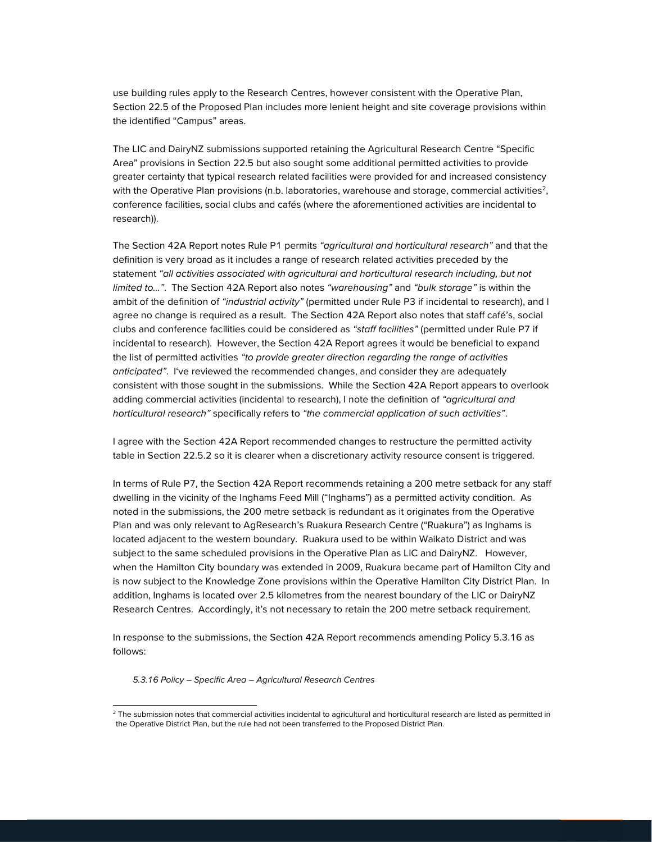use building rules apply to the Research Centres, however consistent with the Operative Plan, Section 22.5 of the Proposed Plan includes more lenient height and site coverage provisions within the identified "Campus" areas.

The LIC and DairyNZ submissions supported retaining the Agricultural Research Centre "Specific Area" provisions in Section 22.5 but also sought some additional permitted activities to provide greater certainty that typical research related facilities were provided for and increased consistency with the Operative Plan provisions (n.b. laboratories, warehouse and storage, commercial activities<sup>2</sup>, conference facilities, social clubs and cafés (where the aforementioned activities are incidental to research)).

The Section 42A Report notes Rule P1 permits "agricultural and horticultural research" and that the definition is very broad as it includes a range of research related activities preceded by the statement "all activities associated with agricultural and horticultural research including, but not limited to...". The Section 42A Report also notes "warehousing" and "bulk storage" is within the ambit of the definition of "industrial activity" (permitted under Rule P3 if incidental to research), and I agree no change is required as a result. The Section 42A Report also notes that staff café's, social clubs and conference facilities could be considered as "staff facilities" (permitted under Rule P7 if incidental to research). However, the Section 42A Report agrees it would be beneficial to expand the list of permitted activities "to provide greater direction regarding the range of activities anticipated". I've reviewed the recommended changes, and consider they are adequately consistent with those sought in the submissions. While the Section 42A Report appears to overlook adding commercial activities (incidental to research), I note the definition of "agricultural and horticultural research" specifically refers to "the commercial application of such activities".

I agree with the Section 42A Report recommended changes to restructure the permitted activity table in Section 22.5.2 so it is clearer when a discretionary activity resource consent is triggered.

In terms of Rule P7, the Section 42A Report recommends retaining a 200 metre setback for any staff dwelling in the vicinity of the Inghams Feed Mill ("Inghams") as a permitted activity condition. As noted in the submissions, the 200 metre setback is redundant as it originates from the Operative Plan and was only relevant to AgResearch's Ruakura Research Centre ("Ruakura") as Inghams is located adjacent to the western boundary. Ruakura used to be within Waikato District and was subject to the same scheduled provisions in the Operative Plan as LIC and DairyNZ. However, when the Hamilton City boundary was extended in 2009, Ruakura became part of Hamilton City and is now subject to the Knowledge Zone provisions within the Operative Hamilton City District Plan. In addition, Inghams is located over 2.5 kilometres from the nearest boundary of the LIC or DairyNZ Research Centres. Accordingly, it's not necessary to retain the 200 metre setback requirement.

In response to the submissions, the Section 42A Report recommends amending Policy 5.3.16 as follows:

5.3.16 Policy - Specific Area - Agricultural Research Centres

<sup>&</sup>lt;sup>2</sup> The submission notes that commercial activities incidental to agricultural and horticultural research are listed as permitted in the Operative District Plan, but the rule had not been transferred to the Proposed District Plan.